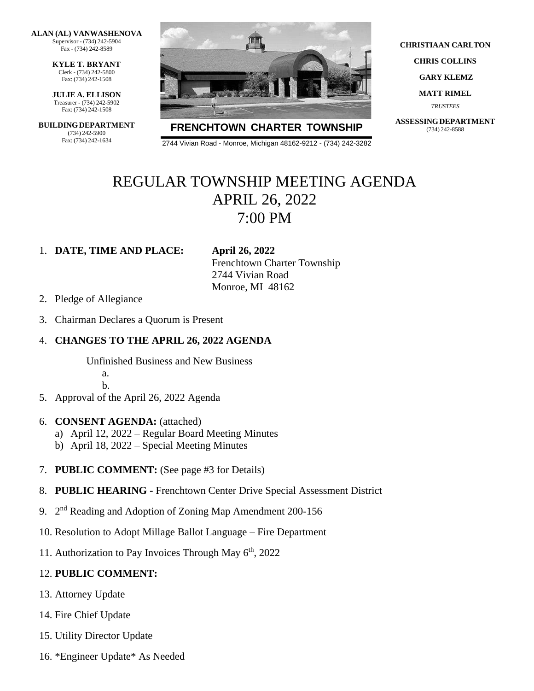**ALAN (AL) VANWASHENOVA** Supervisor - (734) 242-5904 Fax - (734) 242-8589

> **KYLE T. BRYANT** Clerk - (734) 242-5800 Fax: (734) 242-1508

**JULIE A. ELLISON** Treasurer - (734) 242-5902 Fax: (734) 242-1508

**BUILDINGDEPARTMENT** (734) 242-5900 Fax: (734) 242-1634



**FRENCHTOWN CHARTER TOWNSHIP**

2744 Vivian Road - Monroe, Michigan 48162-9212 - (734) 242-3282

**CHRISTIAAN CARLTON**

**CHRIS COLLINS**

**GARY KLEMZ**

**MATT RIMEL**

*TRUSTEES*

**ASSESSINGDEPARTMENT** (734) 242-8588

## REGULAR TOWNSHIP MEETING AGENDA APRIL 26, 2022 7:00 PM

#### 1. **DATE, TIME AND PLACE: April 26, 2022**

Frenchtown Charter Township 2744 Vivian Road Monroe, MI 48162

- 2. Pledge of Allegiance
- 3. Chairman Declares a Quorum is Present

#### 4. **CHANGES TO THE APRIL 26, 2022 AGENDA**

Unfinished Business and New Business a.

b.

- 5. Approval of the April 26, 2022 Agenda
- 6. **CONSENT AGENDA:** (attached)
	- a) April 12, 2022 Regular Board Meeting Minutes
	- b) April 18, 2022 Special Meeting Minutes
- 7. **PUBLIC COMMENT:** (See page #3 for Details)
- 8. **PUBLIC HEARING -** Frenchtown Center Drive Special Assessment District
- 9. 2<sup>nd</sup> Reading and Adoption of Zoning Map Amendment 200-156
- 10. Resolution to Adopt Millage Ballot Language Fire Department
- 11. Authorization to Pay Invoices Through May  $6<sup>th</sup>$ , 2022

#### 12. **PUBLIC COMMENT:**

- 13. Attorney Update
- 14. Fire Chief Update
- 15. Utility Director Update
- 16. \*Engineer Update\* As Needed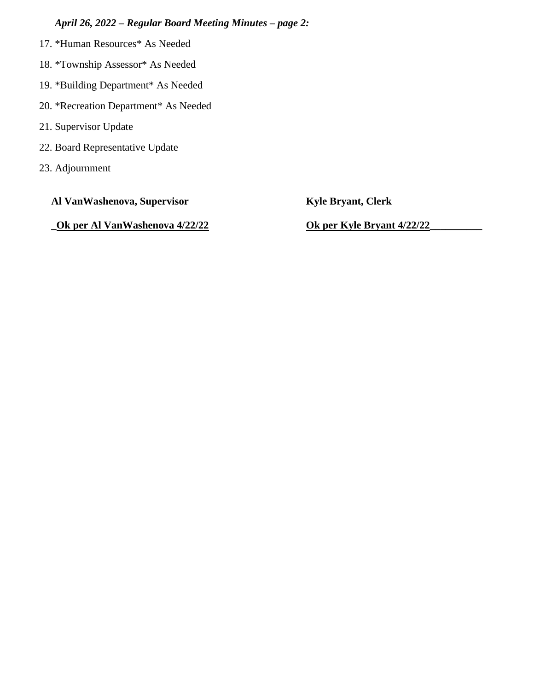### *April 26, 2022 – Regular Board Meeting Minutes – page 2:*

- 17. \*Human Resources\* As Needed
- 18. \*Township Assessor\* As Needed
- 19. \*Building Department\* As Needed
- 20. \*Recreation Department\* As Needed
- 21. Supervisor Update
- 22. Board Representative Update
- 23. Adjournment

**Al VanWashenova, Supervisor Kyle Bryant, Clerk**

**\_Ok per Al VanWashenova 4/22/22 Ok per Kyle Bryant 4/22/22\_\_\_\_\_\_\_\_\_\_**